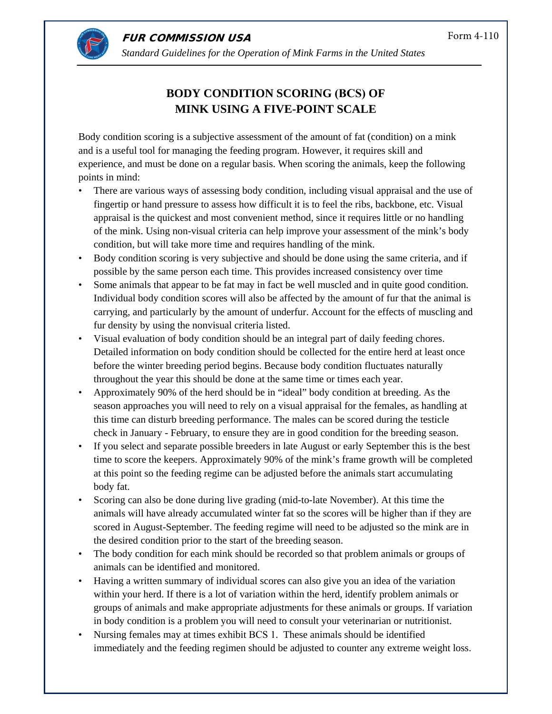

 **FUR COMMISSION USA** *Standard Guidelines for the Operation of Mink Farms in the United States* 

# **BODY CONDITION SCORING (BCS) OF MINK USING A FIVE-POINT SCALE**

Body condition scoring is a subjective assessment of the amount of fat (condition) on a mink and is a useful tool for managing the feeding program. However, it requires skill and experience, and must be done on a regular basis. When scoring the animals, keep the following points in mind:

- There are various ways of assessing body condition, including visual appraisal and the use of fingertip or hand pressure to assess how difficult it is to feel the ribs, backbone, etc. Visual appraisal is the quickest and most convenient method, since it requires little or no handling of the mink. Using non-visual criteria can help improve your assessment of the mink's body condition, but will take more time and requires handling of the mink.
- Body condition scoring is very subjective and should be done using the same criteria, and if possible by the same person each time. This provides increased consistency over time
- Some animals that appear to be fat may in fact be well muscled and in quite good condition. Individual body condition scores will also be affected by the amount of fur that the animal is carrying, and particularly by the amount of underfur. Account for the effects of muscling and fur density by using the nonvisual criteria listed.
- Visual evaluation of body condition should be an integral part of daily feeding chores. Detailed information on body condition should be collected for the entire herd at least once before the winter breeding period begins. Because body condition fluctuates naturally throughout the year this should be done at the same time or times each year.
- Approximately 90% of the herd should be in "ideal" body condition at breeding. As the season approaches you will need to rely on a visual appraisal for the females, as handling at this time can disturb breeding performance. The males can be scored during the testicle check in January - February, to ensure they are in good condition for the breeding season.
- If you select and separate possible breeders in late August or early September this is the best time to score the keepers. Approximately 90% of the mink's frame growth will be completed at this point so the feeding regime can be adjusted before the animals start accumulating body fat.
- Scoring can also be done during live grading (mid-to-late November). At this time the animals will have already accumulated winter fat so the scores will be higher than if they are scored in August-September. The feeding regime will need to be adjusted so the mink are in the desired condition prior to the start of the breeding season.
- The body condition for each mink should be recorded so that problem animals or groups of animals can be identified and monitored.
- Having a written summary of individual scores can also give you an idea of the variation within your herd. If there is a lot of variation within the herd, identify problem animals or groups of animals and make appropriate adjustments for these animals or groups. If variation in body condition is a problem you will need to consult your veterinarian or nutritionist.
- Nursing females may at times exhibit BCS 1. These animals should be identified immediately and the feeding regimen should be adjusted to counter any extreme weight loss.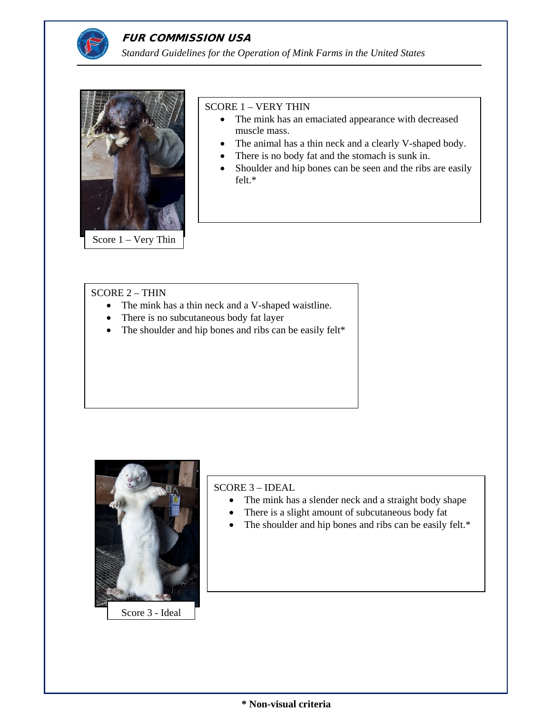



#### SCORE 1 – VERY THIN

- The mink has an emaciated appearance with decreased muscle mass.
- The animal has a thin neck and a clearly V-shaped body.
- There is no body fat and the stomach is sunk in.
- Shoulder and hip bones can be seen and the ribs are easily felt.\*

## SCORE 2 – THIN

- The mink has a thin neck and a V-shaped waistline.
- There is no subcutaneous body fat layer
- The shoulder and hip bones and ribs can be easily felt\*



SCORE 3 – IDEAL

- The mink has a slender neck and a straight body shape
- There is a slight amount of subcutaneous body fat
- The shoulder and hip bones and ribs can be easily felt.\*